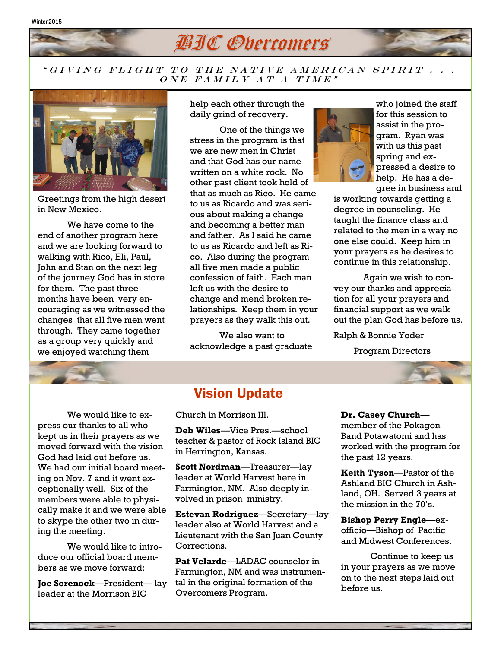

#### " GIVING FLIGHT TO THE NATIVE AMERICAN SPIRIT . . .  $\overline{ONE}$  FAMILY AT A TIME"



Greetings from the high desert in New Mexico.

We have come to the end of another program here and we are looking forward to walking with Rico, Eli, Paul, John and Stan on the next leg of the journey God has in store for them. The past three months have been very encouraging as we witnessed the changes that all five men went through. They came together as a group very quickly and we enjoyed watching them

help each other through the daily grind of recovery.

One of the things we stress in the program is that we are new men in Christ and that God has our name written on a white rock. No other past client took hold of that as much as Rico. He came to us as Ricardo and was serious about making a change and becoming a better man and father. As I said he came to us as Ricardo and left as Rico. Also during the program all five men made a public confession of faith. Each man left us with the desire to change and mend broken relationships. Keep them in your prayers as they walk this out.

We also want to acknowledge a past graduate



who joined the staff for this session to assist in the program. Ryan was with us this past spring and expressed a desire to help. He has a degree in business and

is working towards getting a degree in counseling. He taught the finance class and related to the men in a way no one else could. Keep him in your prayers as he desires to continue in this relationship.

Again we wish to convey our thanks and appreciation for all your prayers and financial support as we walk out the plan God has before us.

Ralph & Bonnie Yoder

Program Directors



We would like to express our thanks to all who kept us in their prayers as we moved forward with the vision God had laid out before us. We had our initial board meeting on Nov. 7 and it went exceptionally well. Six of the members were able to physically make it and we were able to skype the other two in during the meeting.

We would like to introduce our official board members as we move forward:

**Joe Screnock**—President— lay leader at the Morrison BIC

## Vision Update

Church in Morrison Ill.

**Deb Wiles**—Vice Pres.—school teacher & pastor of Rock Island BIC in Herrington, Kansas.

**Scott Nordman**—Treasurer—lay leader at World Harvest here in Farmington, NM. Also deeply involved in prison ministry.

**Estevan Rodriguez**—Secretary—lay leader also at World Harvest and a Lieutenant with the San Juan County Corrections.

**Pat Velarde**—LADAC counselor in Farmington, NM and was instrumental in the original formation of the Overcomers Program.

#### **Dr. Casey Church**—

member of the Pokagon Band Potawatomi and has worked with the program for the past 12 years.

**Keith Tyson**—Pastor of the Ashland BIC Church in Ashland, OH. Served 3 years at the mission in the 70's.

**Bishop Perry Engle**—exofficio—Bishop of Pacific and Midwest Conferences.

Continue to keep us in your prayers as we move on to the next steps laid out before us.